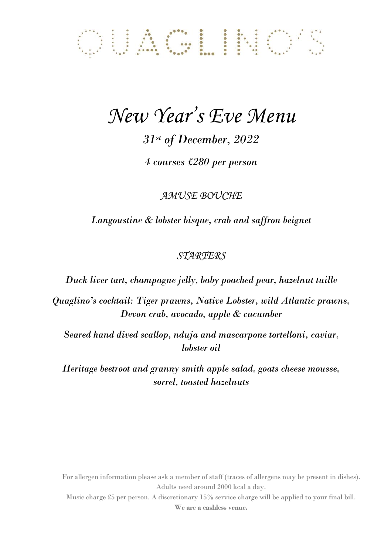# OUACLINO'S

### *New Year's Eve Menu*

*31st of December, 2022*

*4 courses £280 per person*

*AMUSE BOUCHE*

*Langoustine & lobster bisque, crab and saffron beignet* 

### *STARTERS*

*Duck liver tart, champagne jelly, baby poached pear, hazelnut tuille* 

*Quaglino's cocktail: Tiger prawns, Native Lobster, wild Atlantic prawns, Devon crab, avocado, apple & cucumber*

*Seared hand dived scallop, nduja and mascarpone tortelloni, caviar, lobster oil* 

*Heritage beetroot and granny smith apple salad, goats cheese mousse, sorrel, toasted hazelnuts*

For allergen information please ask a member of staff (traces of allergens may be present in dishes). Adults need around 2000 kcal a day.

Music charge £5 per person. A discretionary 15% service charge will be applied to your final bill. **We are a cashless venue.**